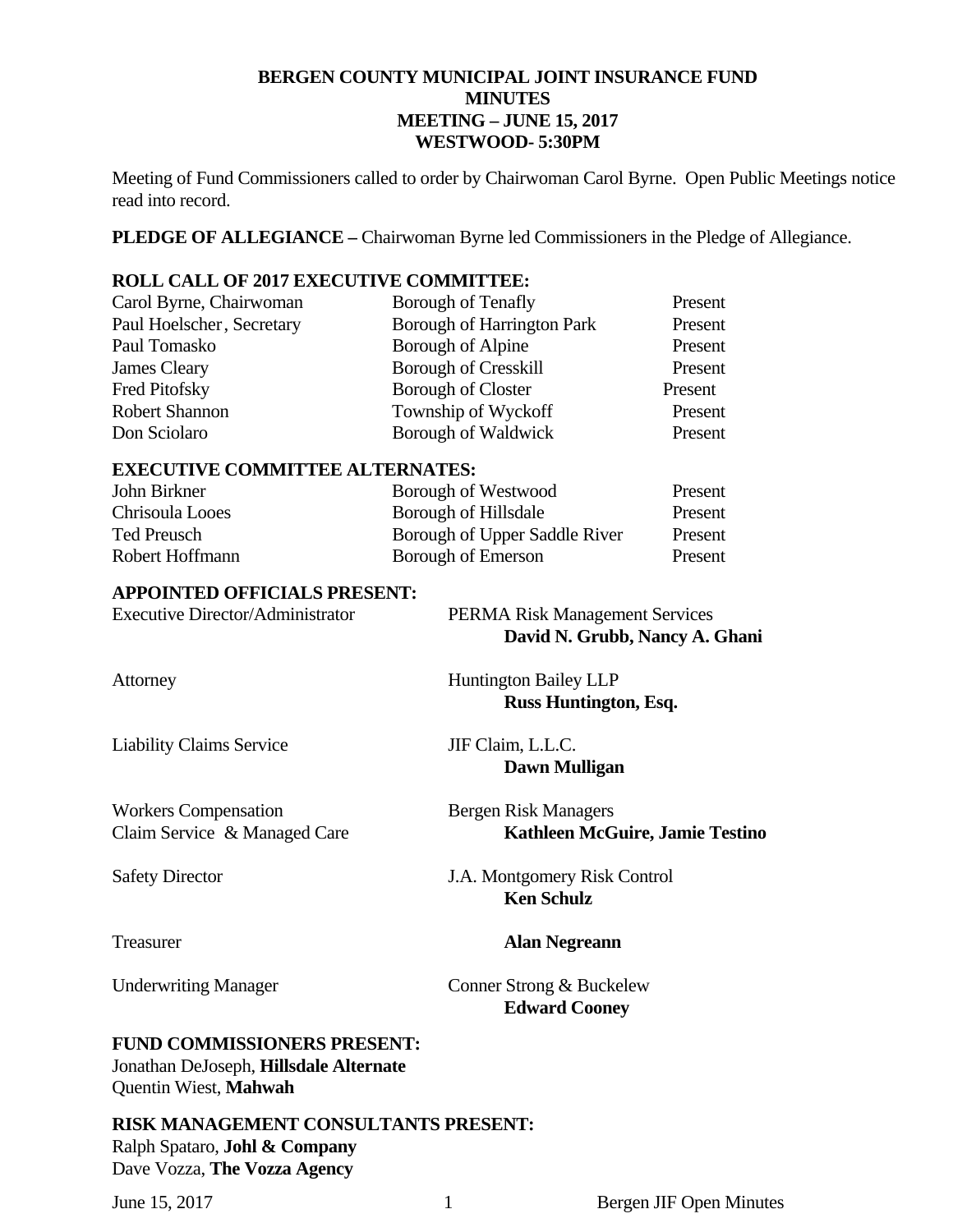# **BERGEN COUNTY MUNICIPAL JOINT INSURANCE FUND MINUTES MEETING – JUNE 15, 2017 WESTWOOD- 5:30PM**

Meeting of Fund Commissioners called to order by Chairwoman Carol Byrne. Open Public Meetings notice read into record.

**PLEDGE OF ALLEGIANCE –** Chairwoman Byrne led Commissioners in the Pledge of Allegiance.

# **ROLL CALL OF 2017 EXECUTIVE COMMITTEE:**

| Carol Byrne, Chairwoman   | Borough of Tenafly                | Present |
|---------------------------|-----------------------------------|---------|
| Paul Hoelscher, Secretary | <b>Borough of Harrington Park</b> | Present |
| Paul Tomasko              | Borough of Alpine                 | Present |
| James Cleary              | <b>Borough of Cresskill</b>       | Present |
| Fred Pitofsky             | <b>Borough of Closter</b>         | Present |
| <b>Robert Shannon</b>     | Township of Wyckoff               | Present |
| Don Sciolaro              | Borough of Waldwick               | Present |

# **EXECUTIVE COMMITTEE ALTERNATES:**

| John Birkner    | Borough of Westwood           | Present |
|-----------------|-------------------------------|---------|
| Chrisoula Looes | Borough of Hillsdale          | Present |
| Ted Preusch     | Borough of Upper Saddle River | Present |
| Robert Hoffmann | Borough of Emerson            | Present |

#### **APPOINTED OFFICIALS PRESENT:**

| <b>Executive Director/Administrator</b>                                      | PERMA Risk Management Services<br>David N. Grubb, Nancy A. Ghani      |
|------------------------------------------------------------------------------|-----------------------------------------------------------------------|
| Attorney                                                                     | <b>Huntington Bailey LLP</b><br>Russ Huntington, Esq.                 |
| <b>Liability Claims Service</b>                                              | JIF Claim, L.L.C.<br>Dawn Mulligan                                    |
| <b>Workers Compensation</b><br>Claim Service & Managed Care                  | <b>Bergen Risk Managers</b><br><b>Kathleen McGuire, Jamie Testino</b> |
| <b>Safety Director</b>                                                       | J.A. Montgomery Risk Control<br><b>Ken Schulz</b>                     |
| Treasurer                                                                    | <b>Alan Negreann</b>                                                  |
| <b>Underwriting Manager</b>                                                  | Conner Strong & Buckelew<br><b>Edward Cooney</b>                      |
| <b>FUND COMMISSIONERS PRESENT:</b><br>Jonathan DeJoseph, Hillsdale Alternate |                                                                       |

Quentin Wiest, **Mahwah** 

# **RISK MANAGEMENT CONSULTANTS PRESENT:**  Ralph Spataro, **Johl & Company** Dave Vozza, **The Vozza Agency**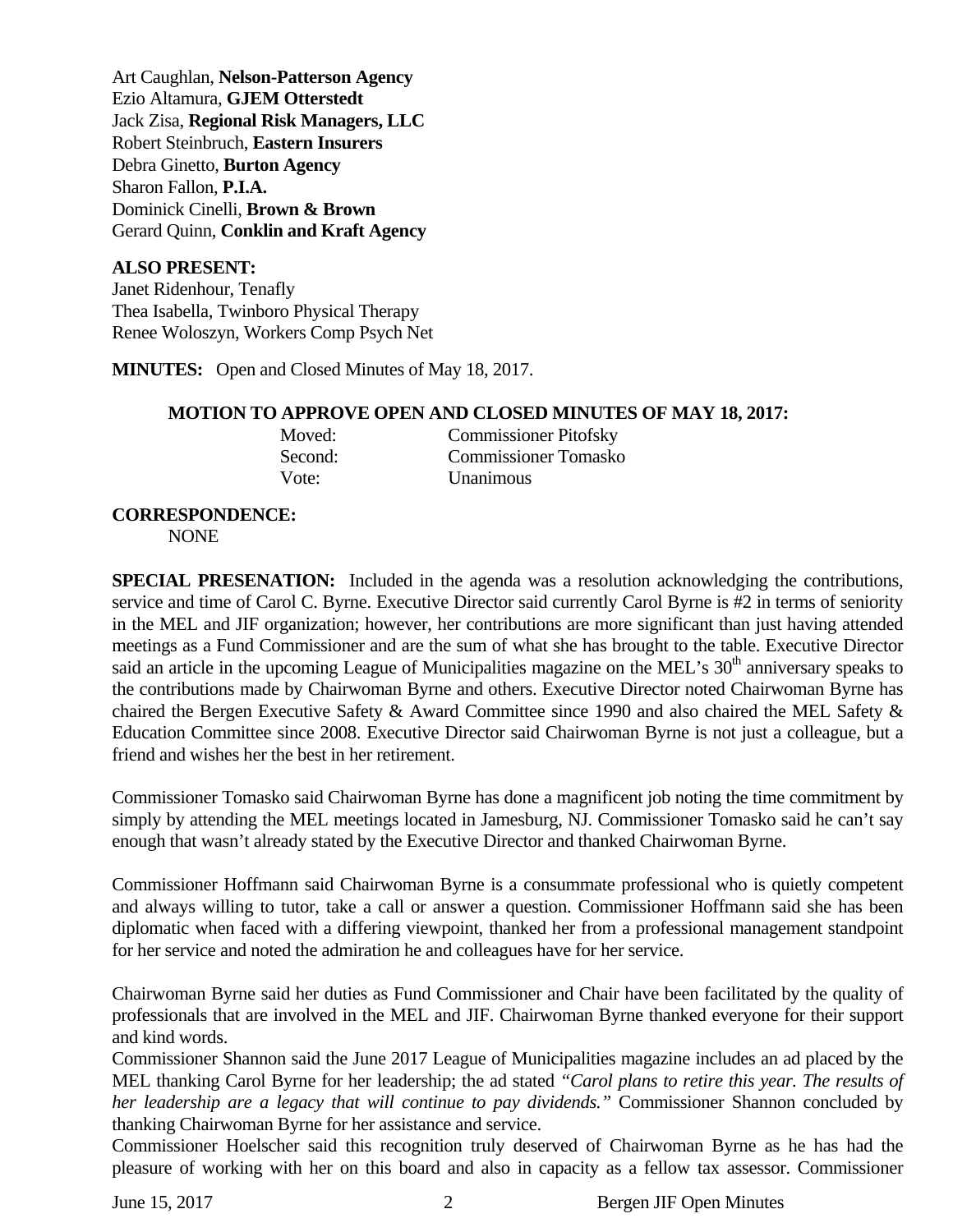Art Caughlan, **Nelson-Patterson Agency**  Ezio Altamura, **GJEM Otterstedt**  Jack Zisa, **Regional Risk Managers, LLC** Robert Steinbruch, **Eastern Insurers**  Debra Ginetto, **Burton Agency**  Sharon Fallon, **P.I.A.**  Dominick Cinelli, **Brown & Brown** Gerard Quinn, **Conklin and Kraft Agency** 

# **ALSO PRESENT:**

Janet Ridenhour, Tenafly Thea Isabella, Twinboro Physical Therapy Renee Woloszyn, Workers Comp Psych Net

**MINUTES:** Open and Closed Minutes of May 18, 2017.

#### **MOTION TO APPROVE OPEN AND CLOSED MINUTES OF MAY 18, 2017:**

| Moved:  | <b>Commissioner Pitofsky</b> |
|---------|------------------------------|
| Second: | <b>Commissioner Tomasko</b>  |
| Vote:   | Unanimous                    |

#### **CORRESPONDENCE:**

NONE

**SPECIAL PRESENATION:** Included in the agenda was a resolution acknowledging the contributions, service and time of Carol C. Byrne. Executive Director said currently Carol Byrne is #2 in terms of seniority in the MEL and JIF organization; however, her contributions are more significant than just having attended meetings as a Fund Commissioner and are the sum of what she has brought to the table. Executive Director said an article in the upcoming League of Municipalities magazine on the MEL's 30<sup>th</sup> anniversary speaks to the contributions made by Chairwoman Byrne and others. Executive Director noted Chairwoman Byrne has chaired the Bergen Executive Safety & Award Committee since 1990 and also chaired the MEL Safety & Education Committee since 2008. Executive Director said Chairwoman Byrne is not just a colleague, but a friend and wishes her the best in her retirement.

Commissioner Tomasko said Chairwoman Byrne has done a magnificent job noting the time commitment by simply by attending the MEL meetings located in Jamesburg, NJ. Commissioner Tomasko said he can't say enough that wasn't already stated by the Executive Director and thanked Chairwoman Byrne.

Commissioner Hoffmann said Chairwoman Byrne is a consummate professional who is quietly competent and always willing to tutor, take a call or answer a question. Commissioner Hoffmann said she has been diplomatic when faced with a differing viewpoint, thanked her from a professional management standpoint for her service and noted the admiration he and colleagues have for her service.

Chairwoman Byrne said her duties as Fund Commissioner and Chair have been facilitated by the quality of professionals that are involved in the MEL and JIF. Chairwoman Byrne thanked everyone for their support and kind words.

Commissioner Shannon said the June 2017 League of Municipalities magazine includes an ad placed by the MEL thanking Carol Byrne for her leadership; the ad stated *"Carol plans to retire this year. The results of her leadership are a legacy that will continue to pay dividends."* Commissioner Shannon concluded by thanking Chairwoman Byrne for her assistance and service.

Commissioner Hoelscher said this recognition truly deserved of Chairwoman Byrne as he has had the pleasure of working with her on this board and also in capacity as a fellow tax assessor. Commissioner

June 15, 2017 2 Bergen JIF Open Minutes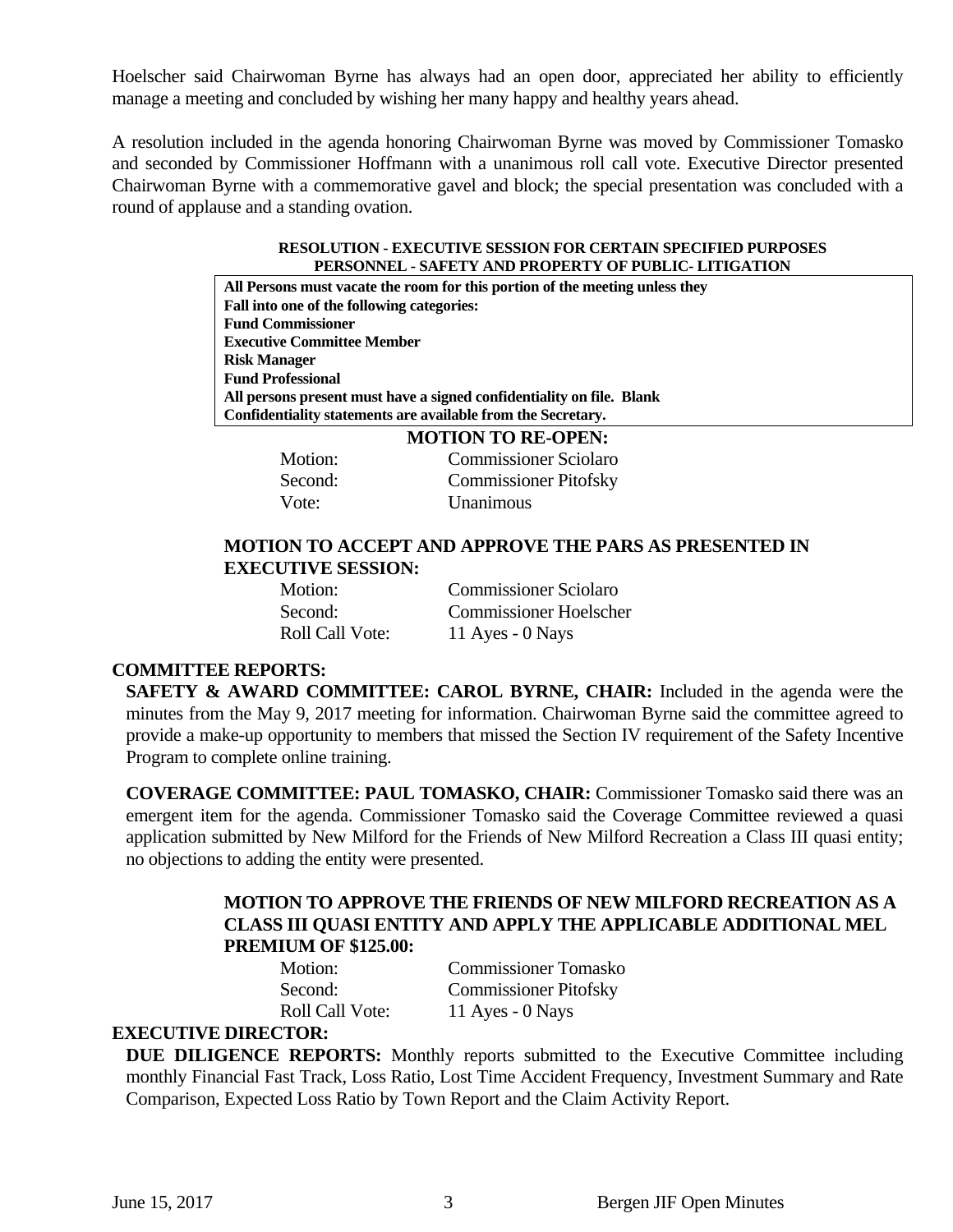Hoelscher said Chairwoman Byrne has always had an open door, appreciated her ability to efficiently manage a meeting and concluded by wishing her many happy and healthy years ahead.

A resolution included in the agenda honoring Chairwoman Byrne was moved by Commissioner Tomasko and seconded by Commissioner Hoffmann with a unanimous roll call vote. Executive Director presented Chairwoman Byrne with a commemorative gavel and block; the special presentation was concluded with a round of applause and a standing ovation.

#### **RESOLUTION - EXECUTIVE SESSION FOR CERTAIN SPECIFIED PURPOSES PERSONNEL - SAFETY AND PROPERTY OF PUBLIC- LITIGATION**

**All Persons must vacate the room for this portion of the meeting unless they Fall into one of the following categories: Fund Commissioner Executive Committee Member Risk Manager Fund Professional All persons present must have a signed confidentiality on file. Blank Confidentiality statements are available from the Secretary.** 

|         | <b>MOTION TO RE-OPEN:</b>    |
|---------|------------------------------|
| Motion: | <b>Commissioner Sciolaro</b> |
| Second: | <b>Commissioner Pitofsky</b> |
| Vote:   | Unanimous                    |

# **MOTION TO ACCEPT AND APPROVE THE PARS AS PRESENTED IN EXECUTIVE SESSION:**

| Motion:                | <b>Commissioner Sciolaro</b>  |
|------------------------|-------------------------------|
| Second:                | <b>Commissioner Hoelscher</b> |
| <b>Roll Call Vote:</b> | 11 Ayes - $0$ Nays            |

# **COMMITTEE REPORTS:**

**SAFETY & AWARD COMMITTEE: CAROL BYRNE, CHAIR:** Included in the agenda were the minutes from the May 9, 2017 meeting for information. Chairwoman Byrne said the committee agreed to provide a make-up opportunity to members that missed the Section IV requirement of the Safety Incentive Program to complete online training.

**COVERAGE COMMITTEE: PAUL TOMASKO, CHAIR:** Commissioner Tomasko said there was an emergent item for the agenda. Commissioner Tomasko said the Coverage Committee reviewed a quasi application submitted by New Milford for the Friends of New Milford Recreation a Class III quasi entity; no objections to adding the entity were presented.

# **MOTION TO APPROVE THE FRIENDS OF NEW MILFORD RECREATION AS A CLASS III QUASI ENTITY AND APPLY THE APPLICABLE ADDITIONAL MEL PREMIUM OF \$125.00:**

 Motion: Commissioner Tomasko Second: Commissioner Pitofsky Roll Call Vote: 11 Ayes - 0 Nays

# **EXECUTIVE DIRECTOR:**

**DUE DILIGENCE REPORTS:** Monthly reports submitted to the Executive Committee including monthly Financial Fast Track, Loss Ratio, Lost Time Accident Frequency, Investment Summary and Rate Comparison, Expected Loss Ratio by Town Report and the Claim Activity Report.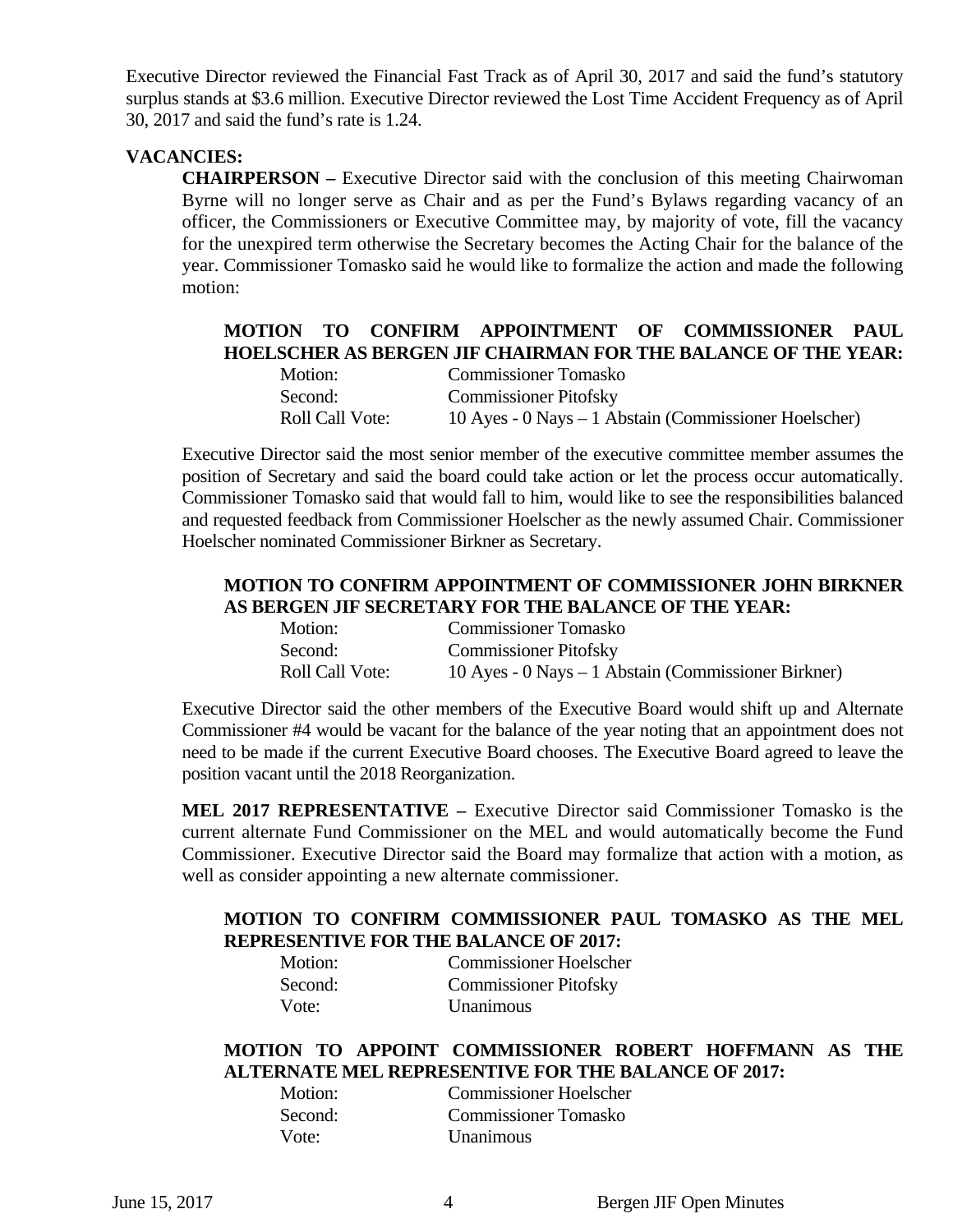Executive Director reviewed the Financial Fast Track as of April 30, 2017 and said the fund's statutory surplus stands at \$3.6 million. Executive Director reviewed the Lost Time Accident Frequency as of April 30, 2017 and said the fund's rate is 1.24.

# **VACANCIES:**

**CHAIRPERSON –** Executive Director said with the conclusion of this meeting Chairwoman Byrne will no longer serve as Chair and as per the Fund's Bylaws regarding vacancy of an officer, the Commissioners or Executive Committee may, by majority of vote, fill the vacancy for the unexpired term otherwise the Secretary becomes the Acting Chair for the balance of the year. Commissioner Tomasko said he would like to formalize the action and made the following motion:

# **MOTION TO CONFIRM APPOINTMENT OF COMMISSIONER PAUL HOELSCHER AS BERGEN JIF CHAIRMAN FOR THE BALANCE OF THE YEAR:**

| Motion:                | <b>Commissioner Tomasko</b>                           |
|------------------------|-------------------------------------------------------|
| Second:                | <b>Commissioner Pitofsky</b>                          |
| <b>Roll Call Vote:</b> | 10 Ayes - 0 Nays – 1 Abstain (Commissioner Hoelscher) |

Executive Director said the most senior member of the executive committee member assumes the position of Secretary and said the board could take action or let the process occur automatically. Commissioner Tomasko said that would fall to him, would like to see the responsibilities balanced and requested feedback from Commissioner Hoelscher as the newly assumed Chair. Commissioner Hoelscher nominated Commissioner Birkner as Secretary.

# **MOTION TO CONFIRM APPOINTMENT OF COMMISSIONER JOHN BIRKNER AS BERGEN JIF SECRETARY FOR THE BALANCE OF THE YEAR:**

| Motion:                | <b>Commissioner Tomasko</b>                         |
|------------------------|-----------------------------------------------------|
| Second:                | <b>Commissioner Pitofsky</b>                        |
| <b>Roll Call Vote:</b> | 10 Ayes - 0 Nays – 1 Abstain (Commissioner Birkner) |

Executive Director said the other members of the Executive Board would shift up and Alternate Commissioner #4 would be vacant for the balance of the year noting that an appointment does not need to be made if the current Executive Board chooses. The Executive Board agreed to leave the position vacant until the 2018 Reorganization.

**MEL 2017 REPRESENTATIVE –** Executive Director said Commissioner Tomasko is the current alternate Fund Commissioner on the MEL and would automatically become the Fund Commissioner. Executive Director said the Board may formalize that action with a motion, as well as consider appointing a new alternate commissioner.

# **MOTION TO CONFIRM COMMISSIONER PAUL TOMASKO AS THE MEL REPRESENTIVE FOR THE BALANCE OF 2017:**

| Motion: | <b>Commissioner Hoelscher</b> |
|---------|-------------------------------|
| Second: | <b>Commissioner Pitofsky</b>  |
| Vote:   | <b>Unanimous</b>              |

# **MOTION TO APPOINT COMMISSIONER ROBERT HOFFMANN AS THE ALTERNATE MEL REPRESENTIVE FOR THE BALANCE OF 2017:**

| Motion: | <b>Commissioner Hoelscher</b> |
|---------|-------------------------------|
| Second: | <b>Commissioner Tomasko</b>   |
| Vote:   | Unanimous                     |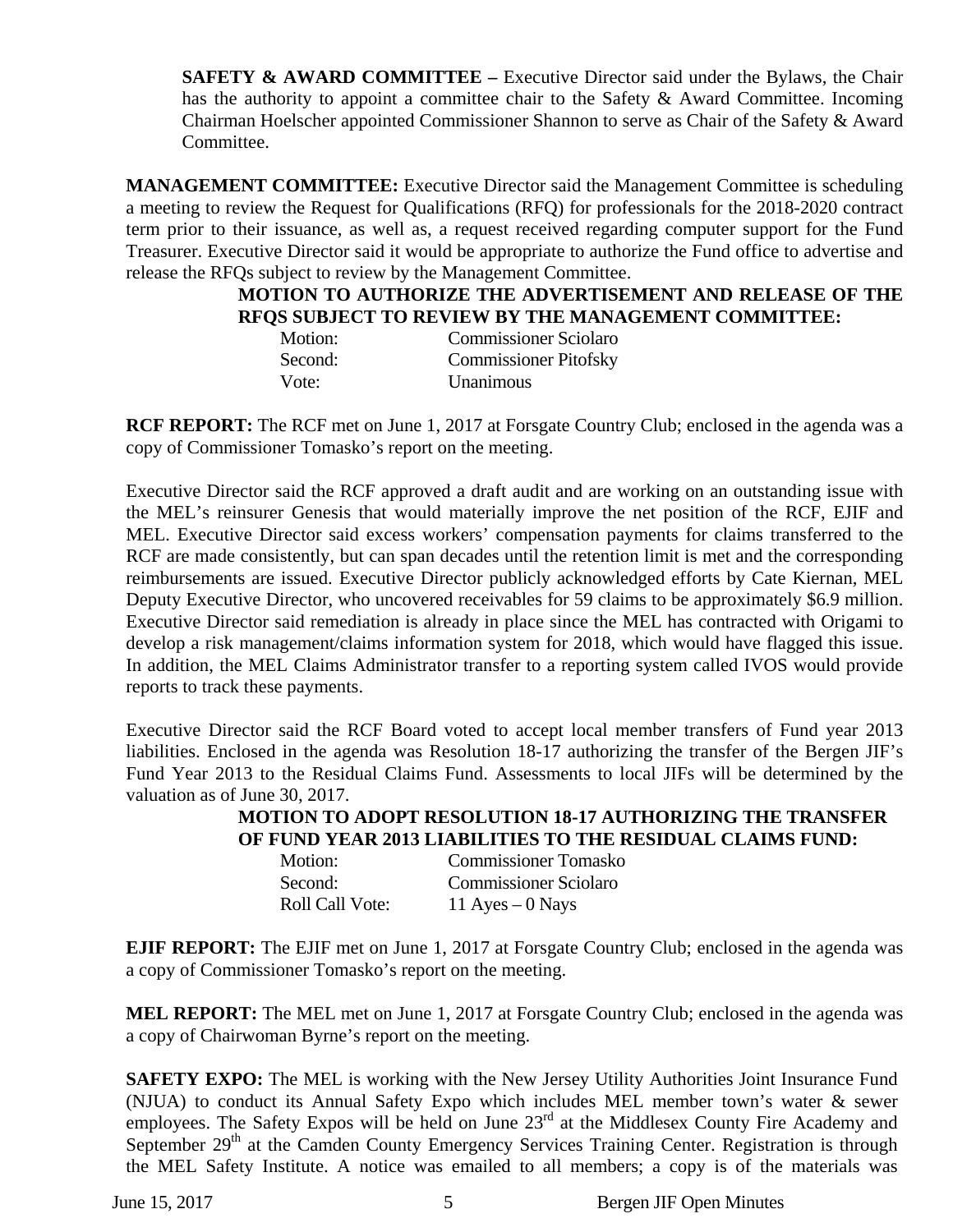**SAFETY & AWARD COMMITTEE –** Executive Director said under the Bylaws, the Chair has the authority to appoint a committee chair to the Safety & Award Committee. Incoming Chairman Hoelscher appointed Commissioner Shannon to serve as Chair of the Safety & Award Committee.

**MANAGEMENT COMMITTEE:** Executive Director said the Management Committee is scheduling a meeting to review the Request for Qualifications (RFQ) for professionals for the 2018-2020 contract term prior to their issuance, as well as, a request received regarding computer support for the Fund Treasurer. Executive Director said it would be appropriate to authorize the Fund office to advertise and release the RFQs subject to review by the Management Committee.

#### **MOTION TO AUTHORIZE THE ADVERTISEMENT AND RELEASE OF THE RFQS SUBJECT TO REVIEW BY THE MANAGEMENT COMMITTEE:**

| Motion: | <b>Commissioner Sciolaro</b> |
|---------|------------------------------|
| Second: | <b>Commissioner Pitofsky</b> |
| Vote:   | <b>Unanimous</b>             |

**RCF REPORT:** The RCF met on June 1, 2017 at Forsgate Country Club; enclosed in the agenda was a copy of Commissioner Tomasko's report on the meeting.

Executive Director said the RCF approved a draft audit and are working on an outstanding issue with the MEL's reinsurer Genesis that would materially improve the net position of the RCF, EJIF and MEL. Executive Director said excess workers' compensation payments for claims transferred to the RCF are made consistently, but can span decades until the retention limit is met and the corresponding reimbursements are issued. Executive Director publicly acknowledged efforts by Cate Kiernan, MEL Deputy Executive Director, who uncovered receivables for 59 claims to be approximately \$6.9 million. Executive Director said remediation is already in place since the MEL has contracted with Origami to develop a risk management/claims information system for 2018, which would have flagged this issue. In addition, the MEL Claims Administrator transfer to a reporting system called IVOS would provide reports to track these payments.

Executive Director said the RCF Board voted to accept local member transfers of Fund year 2013 liabilities. Enclosed in the agenda was Resolution 18-17 authorizing the transfer of the Bergen JIF's Fund Year 2013 to the Residual Claims Fund. Assessments to local JIFs will be determined by the valuation as of June 30, 2017.

> **MOTION TO ADOPT RESOLUTION 18-17 AUTHORIZING THE TRANSFER OF FUND YEAR 2013 LIABILITIES TO THE RESIDUAL CLAIMS FUND:**

| Motion:                | <b>Commissioner Tomasko</b>  |
|------------------------|------------------------------|
| Second:                | <b>Commissioner Sciolaro</b> |
| <b>Roll Call Vote:</b> | 11 Ayes $-0$ Nays            |

**EJIF REPORT:** The EJIF met on June 1, 2017 at Forsgate Country Club; enclosed in the agenda was a copy of Commissioner Tomasko's report on the meeting.

**MEL REPORT:** The MEL met on June 1, 2017 at Forsgate Country Club; enclosed in the agenda was a copy of Chairwoman Byrne's report on the meeting.

**SAFETY EXPO:** The MEL is working with the New Jersey Utility Authorities Joint Insurance Fund (NJUA) to conduct its Annual Safety Expo which includes MEL member town's water & sewer employees. The Safety Expos will be held on June 23<sup>rd</sup> at the Middlesex County Fire Academy and September  $29<sup>th</sup>$  at the Camden County Emergency Services Training Center. Registration is through the MEL Safety Institute. A notice was emailed to all members; a copy is of the materials was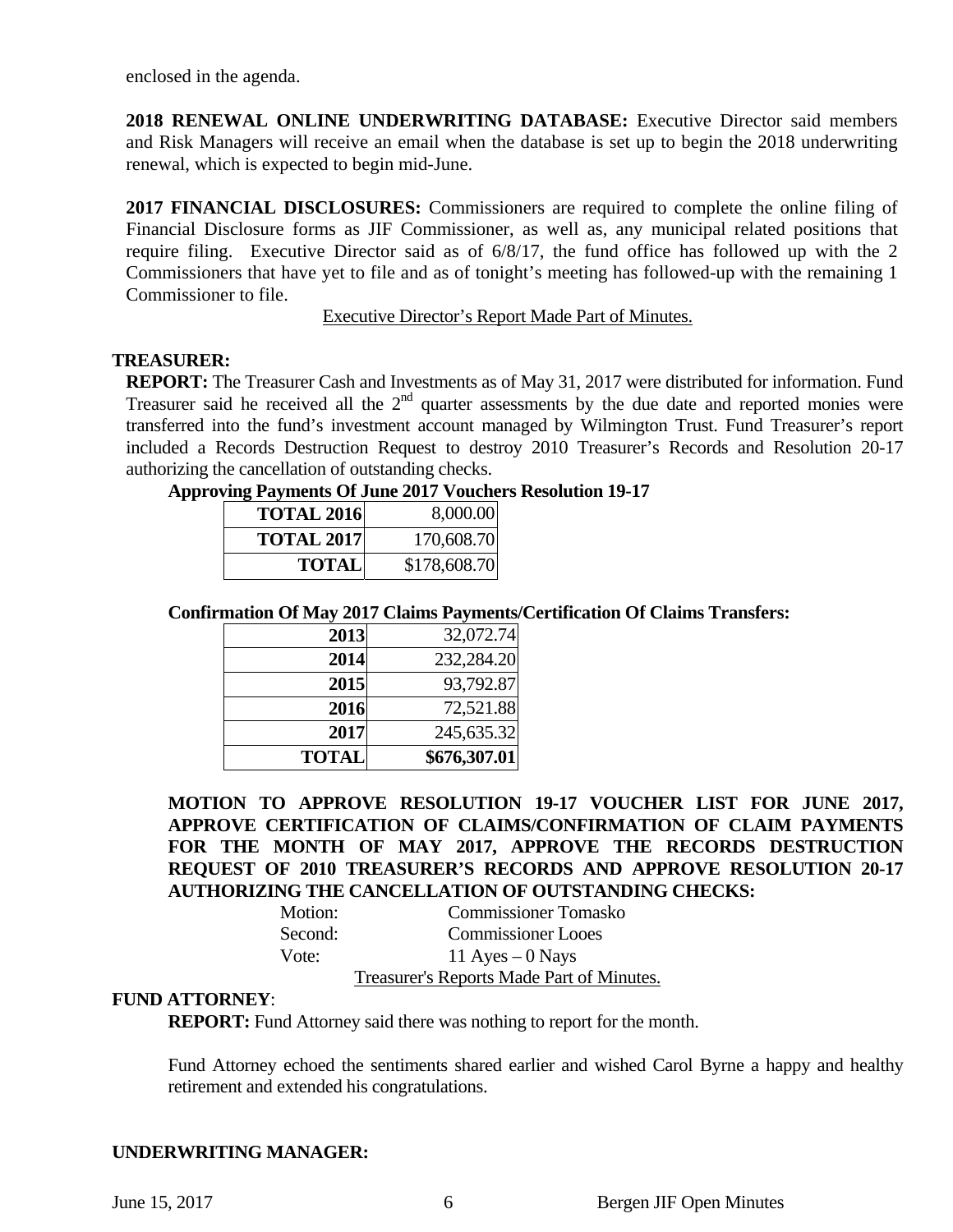enclosed in the agenda.

**2018 RENEWAL ONLINE UNDERWRITING DATABASE:** Executive Director said members and Risk Managers will receive an email when the database is set up to begin the 2018 underwriting renewal, which is expected to begin mid-June.

**2017 FINANCIAL DISCLOSURES:** Commissioners are required to complete the online filing of Financial Disclosure forms as JIF Commissioner, as well as, any municipal related positions that require filing. Executive Director said as of 6/8/17, the fund office has followed up with the 2 Commissioners that have yet to file and as of tonight's meeting has followed-up with the remaining 1 Commissioner to file.

Executive Director's Report Made Part of Minutes.

# **TREASURER:**

**REPORT:** The Treasurer Cash and Investments as of May 31, 2017 were distributed for information. Fund Treasurer said he received all the  $2<sup>nd</sup>$  quarter assessments by the due date and reported monies were transferred into the fund's investment account managed by Wilmington Trust. Fund Treasurer's report included a Records Destruction Request to destroy 2010 Treasurer's Records and Resolution 20-17 authorizing the cancellation of outstanding checks.

|  |  | <b>Approving Payments Of June 2017 Vouchers Resolution 19-17</b> |  |
|--|--|------------------------------------------------------------------|--|
|  |  |                                                                  |  |

| <b>TOTAL 2016</b> | 8,000.00     |
|-------------------|--------------|
| <b>TOTAL 2017</b> | 170,608.70   |
| <b>TOTAL</b>      | \$178,608.70 |

# **Confirmation Of May 2017 Claims Payments/Certification Of Claims Transfers:**

| 2013         | 32,072.74    |
|--------------|--------------|
| 2014         | 232,284.20   |
| 2015         | 93,792.87    |
| 2016         | 72,521.88    |
| 2017         | 245,635.32   |
| <b>TOTAL</b> | \$676,307.01 |

**MOTION TO APPROVE RESOLUTION 19-17 VOUCHER LIST FOR JUNE 2017, APPROVE CERTIFICATION OF CLAIMS/CONFIRMATION OF CLAIM PAYMENTS FOR THE MONTH OF MAY 2017, APPROVE THE RECORDS DESTRUCTION REQUEST OF 2010 TREASURER'S RECORDS AND APPROVE RESOLUTION 20-17 AUTHORIZING THE CANCELLATION OF OUTSTANDING CHECKS:** 

| Motion: | <b>Commissioner Tomasko</b>               |
|---------|-------------------------------------------|
| Second: | <b>Commissioner Looes</b>                 |
| Vote:   | 11 Ayes $-0$ Nays                         |
|         | Treasurer's Reports Made Part of Minutes. |

# **FUND ATTORNEY**:

**REPORT:** Fund Attorney said there was nothing to report for the month.

Fund Attorney echoed the sentiments shared earlier and wished Carol Byrne a happy and healthy retirement and extended his congratulations.

# **UNDERWRITING MANAGER:**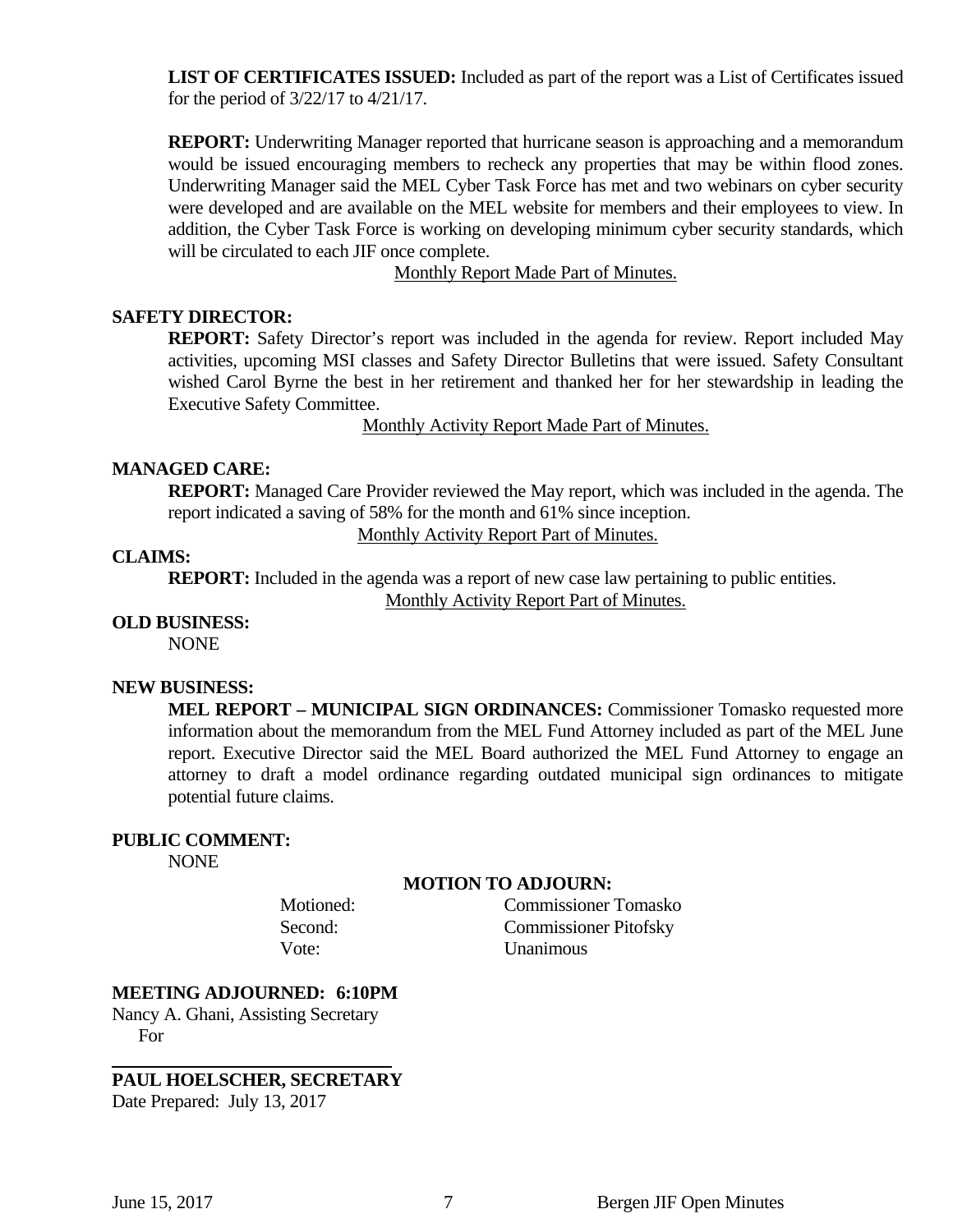**LIST OF CERTIFICATES ISSUED:** Included as part of the report was a List of Certificates issued for the period of 3/22/17 to 4/21/17.

**REPORT:** Underwriting Manager reported that hurricane season is approaching and a memorandum would be issued encouraging members to recheck any properties that may be within flood zones. Underwriting Manager said the MEL Cyber Task Force has met and two webinars on cyber security were developed and are available on the MEL website for members and their employees to view. In addition, the Cyber Task Force is working on developing minimum cyber security standards, which will be circulated to each JIF once complete.

Monthly Report Made Part of Minutes.

# **SAFETY DIRECTOR:**

**REPORT:** Safety Director's report was included in the agenda for review. Report included May activities, upcoming MSI classes and Safety Director Bulletins that were issued. Safety Consultant wished Carol Byrne the best in her retirement and thanked her for her stewardship in leading the Executive Safety Committee.

Monthly Activity Report Made Part of Minutes.

#### **MANAGED CARE:**

**REPORT:** Managed Care Provider reviewed the May report, which was included in the agenda. The report indicated a saving of 58% for the month and 61% since inception.

Monthly Activity Report Part of Minutes.

## **CLAIMS:**

**REPORT:** Included in the agenda was a report of new case law pertaining to public entities. Monthly Activity Report Part of Minutes.

#### **OLD BUSINESS:**

NONE

#### **NEW BUSINESS:**

**MEL REPORT – MUNICIPAL SIGN ORDINANCES:** Commissioner Tomasko requested more information about the memorandum from the MEL Fund Attorney included as part of the MEL June report. Executive Director said the MEL Board authorized the MEL Fund Attorney to engage an attorney to draft a model ordinance regarding outdated municipal sign ordinances to mitigate potential future claims.

#### **PUBLIC COMMENT:**

NONE

#### **MOTION TO ADJOURN:**

 Motioned: Commissioner Tomasko Second: Commissioner Pitofsky Vote: Unanimous

#### **MEETING ADJOURNED: 6:10PM**

Nancy A. Ghani, Assisting Secretary For

# **PAUL HOELSCHER, SECRETARY**

Date Prepared: July 13, 2017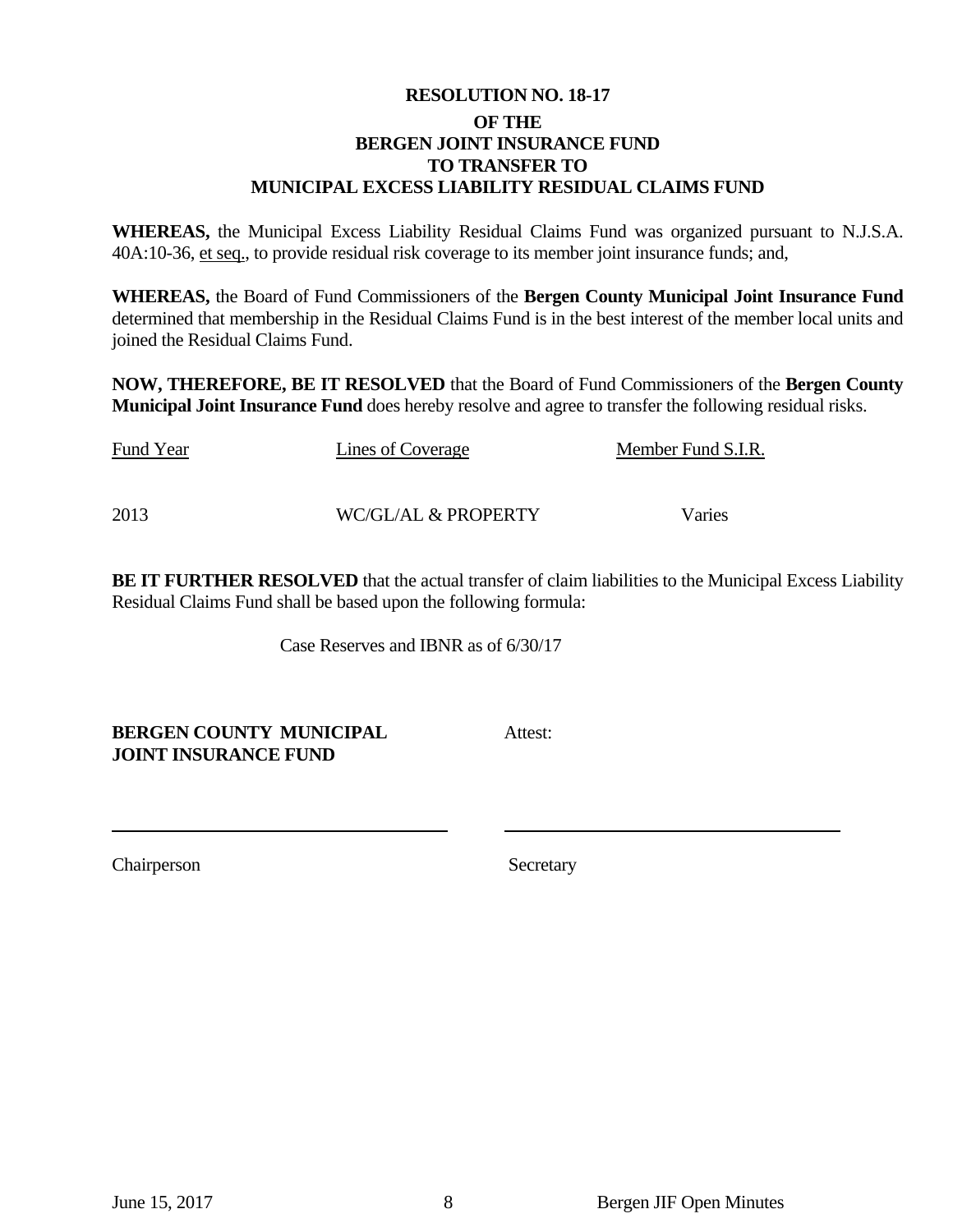# **RESOLUTION NO. 18-17 OF THE BERGEN JOINT INSURANCE FUND TO TRANSFER TO MUNICIPAL EXCESS LIABILITY RESIDUAL CLAIMS FUND**

**WHEREAS,** the Municipal Excess Liability Residual Claims Fund was organized pursuant to N.J.S.A. 40A:10-36, et seq., to provide residual risk coverage to its member joint insurance funds; and,

**WHEREAS,** the Board of Fund Commissioners of the **Bergen County Municipal Joint Insurance Fund**  determined that membership in the Residual Claims Fund is in the best interest of the member local units and joined the Residual Claims Fund.

**NOW, THEREFORE, BE IT RESOLVED** that the Board of Fund Commissioners of the **Bergen County Municipal Joint Insurance Fund** does hereby resolve and agree to transfer the following residual risks.

| Fund Year | Lines of Coverage   | Member Fund S.I.R. |
|-----------|---------------------|--------------------|
|           |                     |                    |
| 2013      | WC/GL/AL & PROPERTY | Varies             |

**BE IT FURTHER RESOLVED** that the actual transfer of claim liabilities to the Municipal Excess Liability Residual Claims Fund shall be based upon the following formula:

Case Reserves and IBNR as of 6/30/17

**BERGEN COUNTY MUNICIPAL Attest: JOINT INSURANCE FUND** 

Chairperson Secretary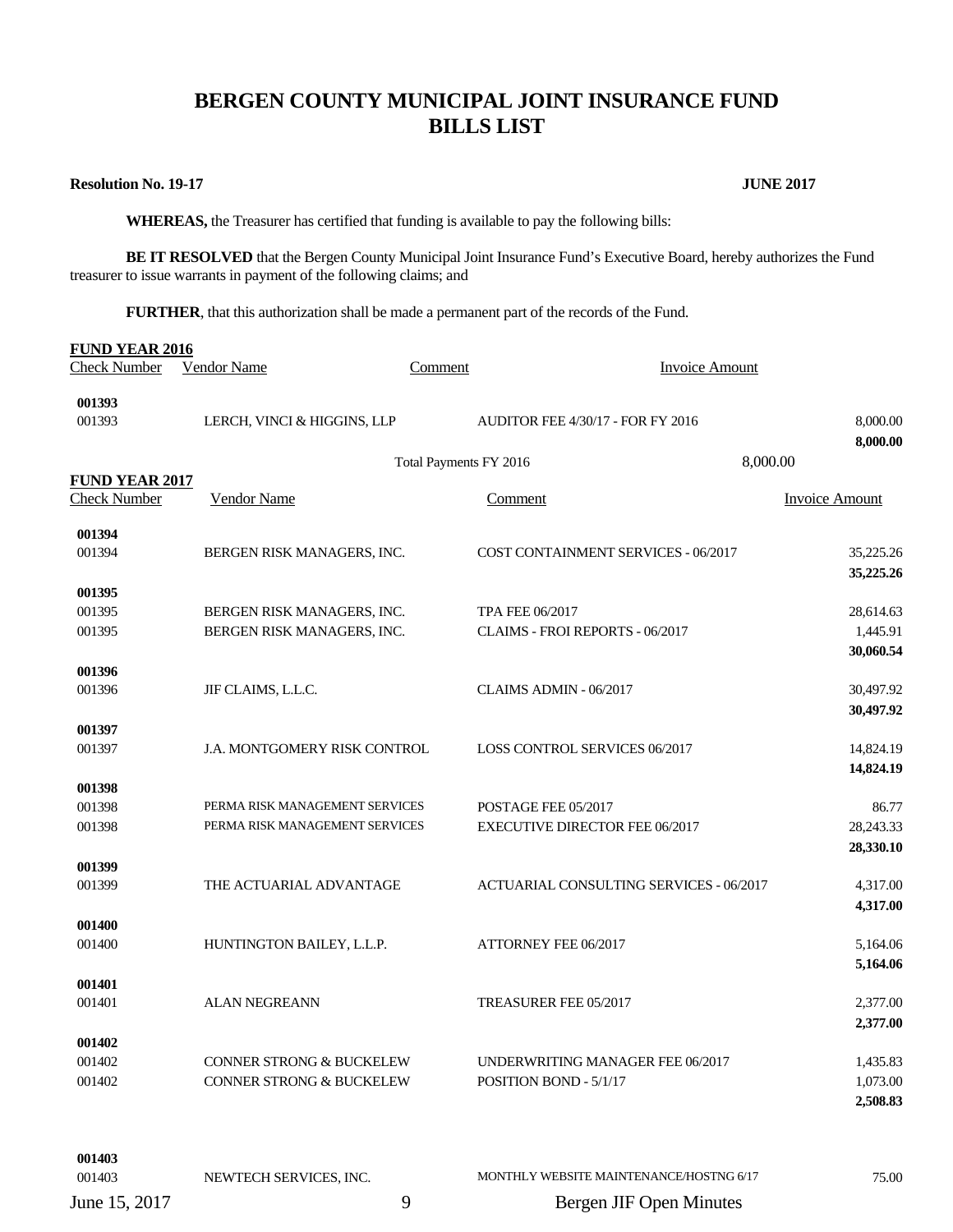# **BERGEN COUNTY MUNICIPAL JOINT INSURANCE FUND BILLS LIST**

#### **Resolution No. 19-17 JUNE 2017**

**001403** 

 **WHEREAS,** the Treasurer has certified that funding is available to pay the following bills:

**BE IT RESOLVED** that the Bergen County Municipal Joint Insurance Fund's Executive Board, hereby authorizes the Fund treasurer to issue warrants in payment of the following claims; and

**FURTHER**, that this authorization shall be made a permanent part of the records of the Fund.

| <b>FUND YEAR 2016</b> |                                     |                        |                                                |                       |
|-----------------------|-------------------------------------|------------------------|------------------------------------------------|-----------------------|
| <b>Check Number</b>   | Vendor Name                         | Comment                | <b>Invoice Amount</b>                          |                       |
| 001393                |                                     |                        |                                                |                       |
| 001393                | LERCH, VINCI & HIGGINS, LLP         |                        | <b>AUDITOR FEE 4/30/17 - FOR FY 2016</b>       | 8,000.00<br>8,000.00  |
|                       |                                     | Total Payments FY 2016 |                                                | 8,000.00              |
| <b>FUND YEAR 2017</b> |                                     |                        |                                                |                       |
| <b>Check Number</b>   | <b>Vendor Name</b>                  |                        | Comment                                        | <b>Invoice Amount</b> |
| 001394                |                                     |                        |                                                |                       |
| 001394                | BERGEN RISK MANAGERS, INC.          |                        | <b>COST CONTAINMENT SERVICES - 06/2017</b>     | 35,225.26             |
|                       |                                     |                        |                                                | 35,225.26             |
| 001395<br>001395      | BERGEN RISK MANAGERS, INC.          |                        | <b>TPA FEE 06/2017</b>                         | 28,614.63             |
| 001395                | BERGEN RISK MANAGERS, INC.          |                        | CLAIMS - FROI REPORTS - 06/2017                | 1,445.91              |
|                       |                                     |                        |                                                | 30,060.54             |
| 001396                |                                     |                        |                                                |                       |
| 001396                | JIF CLAIMS, L.L.C.                  |                        | CLAIMS ADMIN - 06/2017                         | 30,497.92             |
|                       |                                     |                        |                                                | 30,497.92             |
| 001397                |                                     |                        |                                                |                       |
| 001397                | J.A. MONTGOMERY RISK CONTROL        |                        | LOSS CONTROL SERVICES 06/2017                  | 14,824.19             |
|                       |                                     |                        |                                                | 14,824.19             |
| 001398<br>001398      | PERMA RISK MANAGEMENT SERVICES      |                        | POSTAGE FEE 05/2017                            | 86.77                 |
| 001398                | PERMA RISK MANAGEMENT SERVICES      |                        | <b>EXECUTIVE DIRECTOR FEE 06/2017</b>          | 28,243.33             |
|                       |                                     |                        |                                                | 28,330.10             |
| 001399                |                                     |                        |                                                |                       |
| 001399                | THE ACTUARIAL ADVANTAGE             |                        | <b>ACTUARIAL CONSULTING SERVICES - 06/2017</b> | 4,317.00              |
|                       |                                     |                        |                                                | 4,317.00              |
| 001400<br>001400      | HUNTINGTON BAILEY, L.L.P.           |                        | ATTORNEY FEE 06/2017                           | 5,164.06              |
|                       |                                     |                        |                                                | 5,164.06              |
| 001401                |                                     |                        |                                                |                       |
| 001401                | <b>ALAN NEGREANN</b>                |                        | TREASURER FEE 05/2017                          | 2,377.00              |
|                       |                                     |                        |                                                | 2,377.00              |
| 001402                |                                     |                        |                                                |                       |
| 001402                | <b>CONNER STRONG &amp; BUCKELEW</b> |                        | UNDERWRITING MANAGER FEE 06/2017               | 1,435.83              |
| 001402                | <b>CONNER STRONG &amp; BUCKELEW</b> |                        | POSITION BOND - 5/1/17                         | 1,073.00              |
|                       |                                     |                        |                                                | 2,508.83              |
|                       |                                     |                        |                                                |                       |
|                       |                                     |                        |                                                |                       |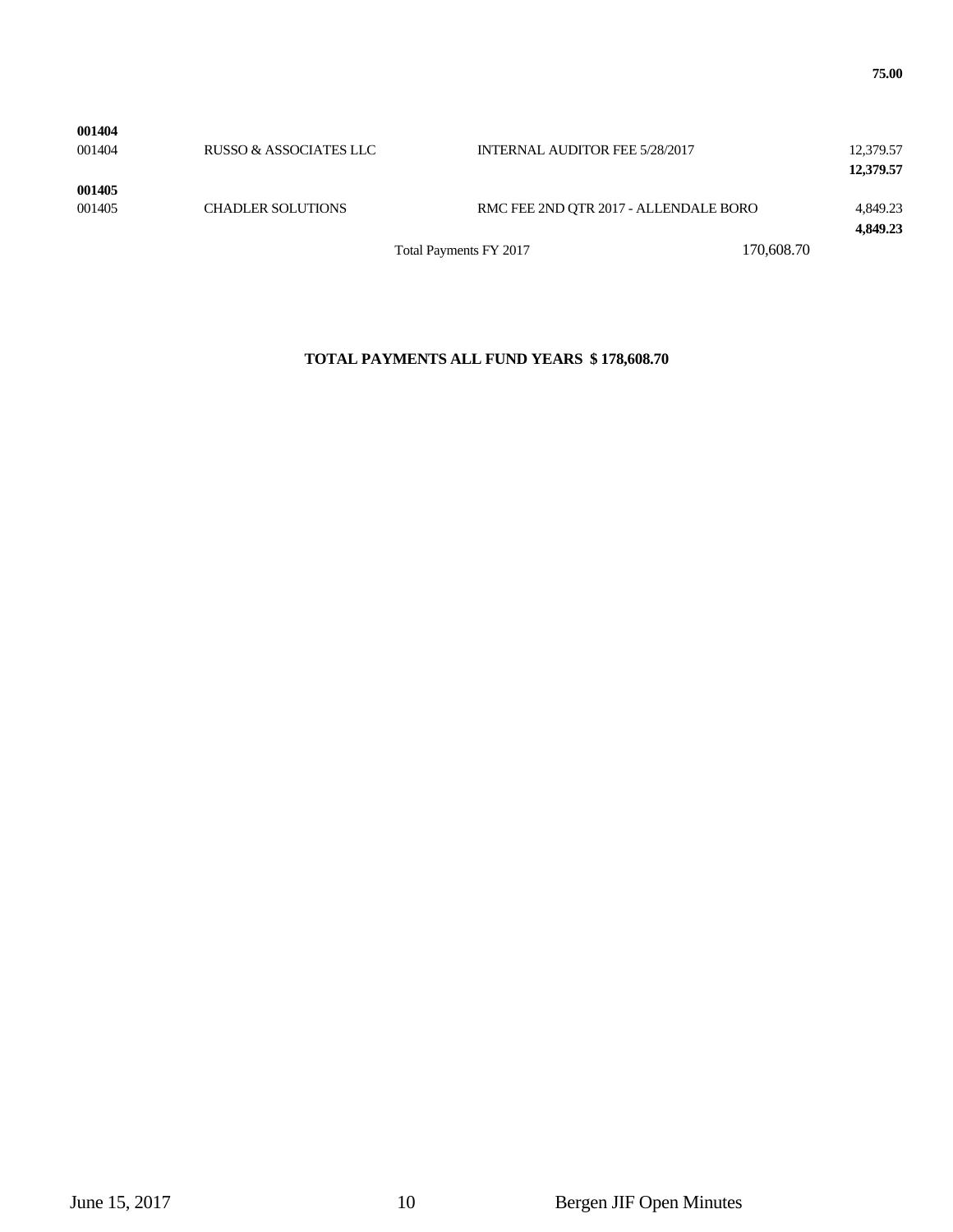| 001404           | RUSSO & ASSOCIATES LLC   |                        | <b>INTERNAL AUDITOR FEE 5/28/2017</b> |            | 12,379.57<br>12,379.57 |
|------------------|--------------------------|------------------------|---------------------------------------|------------|------------------------|
| 001405<br>001405 | <b>CHADLER SOLUTIONS</b> |                        | RMC FEE 2ND OTR 2017 - ALLENDALE BORO |            | 4,849.23<br>4,849.23   |
|                  |                          | Total Payments FY 2017 |                                       | 170,608.70 |                        |

#### **TOTAL PAYMENTS ALL FUND YEARS \$ 178,608.70**

**001404**